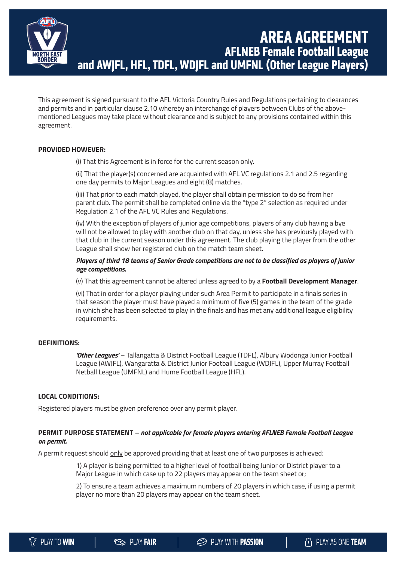

# **AREA AGREEMENT AFLNEB Female Football League and AWJFL, HFL, TDFL, WDJFL and UMFNL (Other League Players)**

This agreement is signed pursuant to the AFL Victoria Country Rules and Regulations pertaining to clearances and permits and in particular clause 2.10 whereby an interchange of players between Clubs of the abovementioned Leagues may take place without clearance and is subject to any provisions contained within this agreement.

# **PROVIDED HOWEVER:**

(i) That this Agreement is in force for the current season only.

(ii) That the player(s) concerned are acquainted with AFL VC regulations 2.1 and 2.5 regarding one day permits to Major Leagues and eight (8) matches.

(iii) That prior to each match played, the player shall obtain permission to do so from her parent club. The permit shall be completed online via the "type 2" selection as required under Regulation 2.1 of the AFL VC Rules and Regulations.

(iv) With the exception of players of junior age competitions, players of any club having a bye will not be allowed to play with another club on that day, unless she has previously played with that club in the current season under this agreement. The club playing the player from the other League shall show her registered club on the match team sheet.

# *Players of third 18 teams of Senior Grade competitions are not to be classified as players of junior age competitions.*

(v) That this agreement cannot be altered unless agreed to by a **Football Development Manager**.

(vi) That in order for a player playing under such Area Permit to participate in a finals series in that season the player must have played a minimum of five (5) games in the team of the grade in which she has been selected to play in the finals and has met any additional league eligibility requirements.

## **DEFINITIONS:**

*'Other Leagues'* – Tallangatta & District Football League (TDFL), Albury Wodonga Junior Football League (AWJFL), Wangaratta & District Junior Football League (WDJFL), Upper Murray Football Netball League (UMFNL) and Hume Football League (HFL).

### **LOCAL CONDITIONS:**

Registered players must be given preference over any permit player.

# **PERMIT PURPOSE STATEMENT –** *not applicable for female players entering AFLNEB Female Football League on permit.*

A permit request should only be approved providing that at least one of two purposes is achieved:

1) A player is being permitted to a higher level of football being Junior or District player to a Major League in which case up to 22 players may appear on the team sheet or;

2) To ensure a team achieves a maximum numbers of 20 players in which case, if using a permit player no more than 20 players may appear on the team sheet.